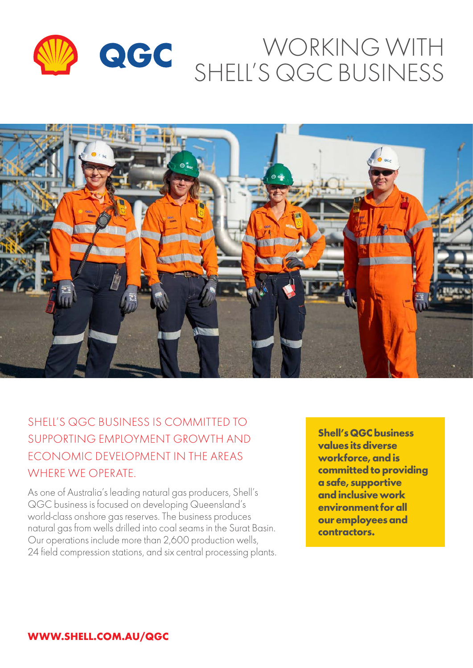



# SHELL'S QGC BUSINESS IS COMMITTED TO SUPPORTING EMPLOYMENT GROWTH AND ECONOMIC DEVELOPMENT IN THE AREAS WHERE WE OPERATE.

As one of Australia's leading natural gas producers, Shell's QGC business is focused on developing Queensland's world‑class onshore gas reserves. The business produces natural gas from wells drilled into coal seams in the Surat Basin. Our operations include more than 2,600 production wells, 24 field compression stations, and six central processing plants.

**Shell's QGC business values its diverse workforce, and is committed to providing a safe, supportive and inclusive work environment for all our employees and contractors.**